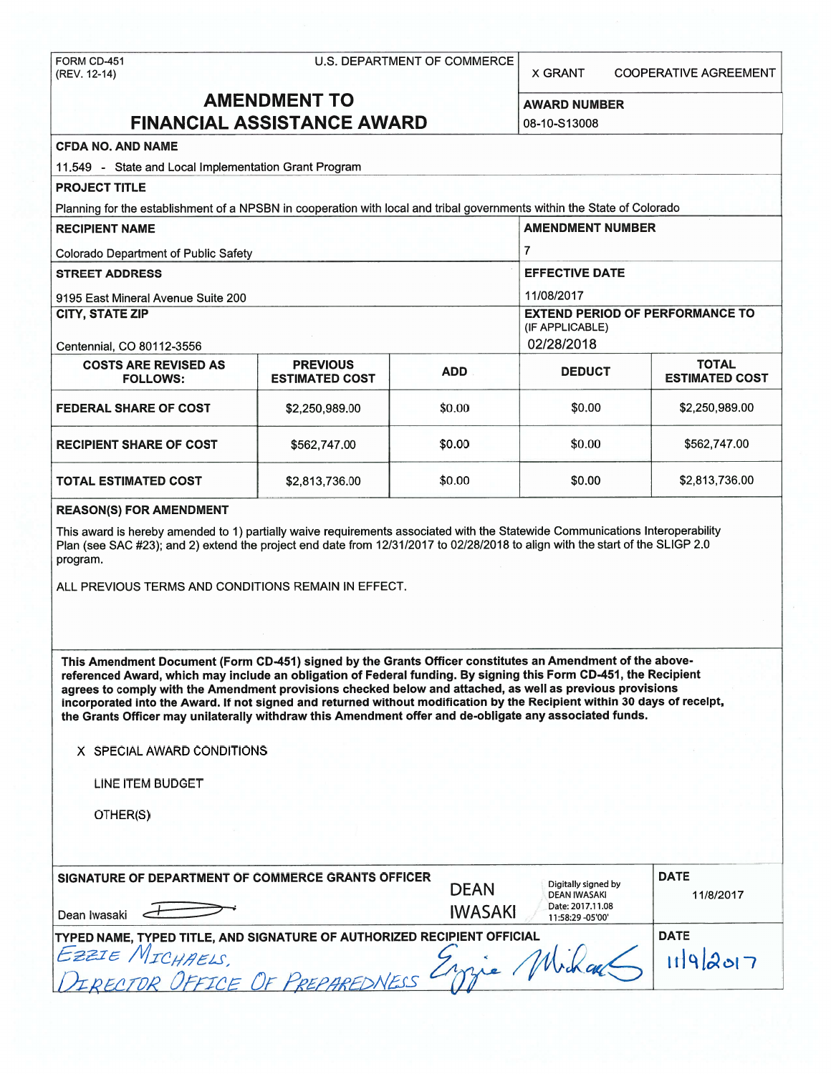FORM CD-451 U.S. DEPARTMENT OF COMMERCE<br>(REV. 12-14)

X GRANT COOPERATIVE AGREEMENT

# **AMENDMENT TO** AWARD NUMBER **FINANCIAL ASSISTANCE AWARD** 08-10-S13008

## **CFDA NO. AND NAME**

| 11,549 - State and Local Implementation Grant Program                                                                   |                                          |            |                                                           |                                       |  |
|-------------------------------------------------------------------------------------------------------------------------|------------------------------------------|------------|-----------------------------------------------------------|---------------------------------------|--|
| <b>PROJECT TITLE</b>                                                                                                    |                                          |            |                                                           |                                       |  |
| Planning for the establishment of a NPSBN in cooperation with local and tribal governments within the State of Colorado |                                          |            |                                                           |                                       |  |
| <b>RECIPIENT NAME</b>                                                                                                   |                                          |            | <b>AMENDMENT NUMBER</b>                                   |                                       |  |
| <b>Colorado Department of Public Safety</b>                                                                             |                                          |            |                                                           |                                       |  |
| <b>STREET ADDRESS</b>                                                                                                   |                                          |            | <b>EFFECTIVE DATE</b>                                     |                                       |  |
| 9195 East Mineral Avenue Suite 200                                                                                      |                                          |            | 11/08/2017                                                |                                       |  |
| CITY, STATE ZIP                                                                                                         |                                          |            | <b>EXTEND PERIOD OF PERFORMANCE TO</b><br>(IF APPLICABLE) |                                       |  |
| Centennial, CO 80112-3556                                                                                               |                                          |            | 02/28/2018                                                |                                       |  |
| <b>COSTS ARE REVISED AS</b><br><b>FOLLOWS:</b>                                                                          | <b>PREVIOUS</b><br><b>ESTIMATED COST</b> | <b>ADD</b> | <b>DEDUCT</b>                                             | <b>TOTAL</b><br><b>ESTIMATED COST</b> |  |
| <b>FEDERAL SHARE OF COST</b>                                                                                            | \$2,250,989,00                           | \$0.00     | \$0.00                                                    | \$2,250,989.00                        |  |
| <b>RECIPIENT SHARE OF COST</b>                                                                                          | \$562,747.00                             | \$0.00     | \$0.00                                                    | \$562,747.00                          |  |
| <b>TOTAL ESTIMATED COST</b>                                                                                             | \$2,813,736.00                           | \$0.00     | \$0.00                                                    | \$2,813,736.00                        |  |

#### **REASON(S) FOR AMENDMENT**

This award is hereby amended to 1) partially waive requirements associated with the Statewide Communications Interoperability Plan (see SAC #23); and 2) extend the project end date from 12/31/2017 to 02/28/2018 to align with the start of the SLIGP 2.0 program.

ALL PREVIOUS TERMS AND CONDITIONS REMAIN IN EFFECT.

**This Amendment Document (Form CD-451) signed by the Grants Officer constitutes an Amendment of the abovereferenced Award, which may include an obligation of Federal funding. By signing this Form CD-451, the Recipient agrees to comply with the Amendment provisions checked below and attached, as well as previous provisions incorporated into the Award. If not signed and returned without modification by the Recipient within 30 days of receipt, the Grants Officer may unilaterally withdraw this Amendment offer and de-obligate any associated funds.** 

#### **X** SPECIAL AWARD CONDITIONS

LINE ITEM BUDGET

OTHER(S)

| <b>SIGNATURE OF DEPARTMENT OF COMMERCE GRANTS OFFICER</b><br>Dean Iwasaki                                                                 | Digitally signed by<br><b>DEAN</b><br><b>DEAN IWASAKI</b><br>Date: 2017.11.08<br><b>IWASAKI</b><br>11:58:29 -05'00' | <b>DATE</b><br>11/8/2017 |
|-------------------------------------------------------------------------------------------------------------------------------------------|---------------------------------------------------------------------------------------------------------------------|--------------------------|
| <b>TYPED NAME, TYPED TITLE, AND SIGNATURE OF AUTHORIZED RECIPIENT OFFICIAL</b><br>Ezzze/<br>= MICHAELS<br>DERECTOR OFFICE OF PREPAREDNESS |                                                                                                                     | <b>DATE</b><br>9207      |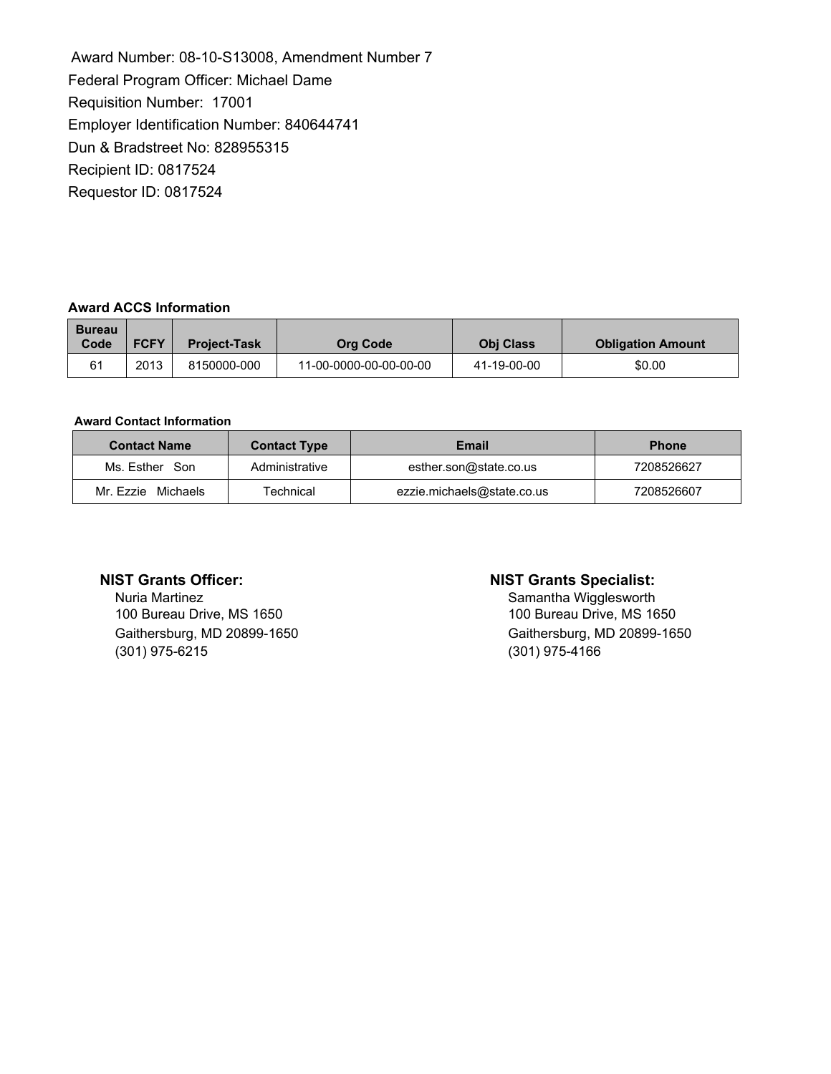Award Number: 08-10-S13008, Amendment Number 7 Federal Program Officer: Michael Dame Requisition Number: 17001 Employer Identification Number: 840644741 Dun & Bradstreet No: 828955315 Recipient ID: 0817524 Requestor ID: 0817524

# **Award ACCS Information**

| <b>Bureau</b><br>Code | <b>FCFY</b> | <b>Project-Task</b> | Org Code               | <b>Obi Class</b> | <b>Obligation Amount</b> |
|-----------------------|-------------|---------------------|------------------------|------------------|--------------------------|
| 61                    | 2013        | 8150000-000         | 11-00-0000-00-00-00-00 | 41-19-00-00      | \$0.00                   |

### **Award Contact Information**

| <b>Contact Name</b> | <b>Contact Type</b> | Email                      | <b>Phone</b> |
|---------------------|---------------------|----------------------------|--------------|
| Ms. Esther Son      | Administrative      | esther.son@state.co.us     | 7208526627   |
| Mr. Ezzie Michaels  | <b>Technical</b>    | ezzie.michaels@state.co.us | 7208526607   |

Nuria Martinez<br>
100 Bureau Drive, MS 1650<br>
100 Bureau Drive, MS 1650<br>
100 Bureau Drive, MS 1650 100 Bureau Drive, MS 1650 (301) 975-6215 (301) 975-4166

# **NIST Grants Officer: NIST Grants Specialist:**

Gaithersburg, MD 20899-1650 Gaithersburg, MD 20899-1650